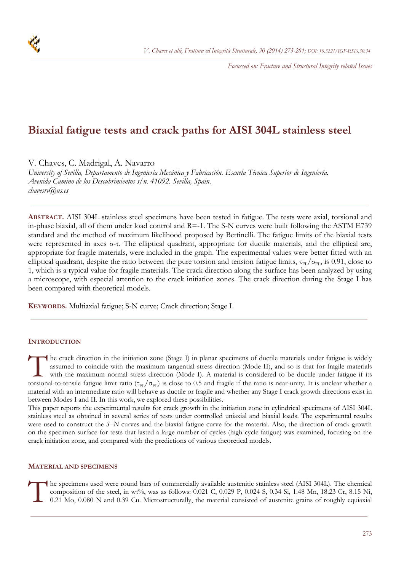*Focussed on: Fracture and Structural Integrity related Issues* 

# **Biaxial fatigue tests and crack paths for AISI 304L stainless steel**

V. Chaves, C. Madrigal, A. Navarro

*University of Sevilla, Departamento de Ingeniería Mecánica y Fabricación. Escuela Técnica Superior de Ingeniería. Avenida Camino de los Descubrimientos s/n. 41092. Sevilla, Spain. chavesrv@us.es* 

**ABSTRACT.** AISI 304L stainless steel specimens have been tested in fatigue. The tests were axial, torsional and in-phase biaxial, all of them under load control and  $R=1$ . The S-N curves were built following the ASTM E739 standard and the method of maximum likelihood proposed by Bettinelli. The fatigue limits of the biaxial tests were represented in axes σ-τ. The elliptical quadrant, appropriate for ductile materials, and the elliptical arc, appropriate for fragile materials, were included in the graph. The experimental values were better fitted with an elliptical quadrant, despite the ratio between the pure torsion and tension fatigue limits,  $\tau_{FL}/\sigma_{FL}$ , is 0.91, close to 1, which is a typical value for fragile materials. The crack direction along the surface has been analyzed by using a microscope, with especial attention to the crack initiation zones. The crack direction during the Stage I has been compared with theoretical models.

**KEYWORDS.** Multiaxial fatigue; S-N curve; Crack direction; Stage I.

# **INTRODUCTION**

he crack direction in the initiation zone (Stage I) in planar specimens of ductile materials under fatigue is widely assumed to coincide with the maximum tangential stress direction (Mode II), and so is that for fragile materials with the maximum normal stress direction (Mode I). A material is considered to be ductile under fatigue if its The crack direction in the initiation zone (Stage I) in planar specimens of ductile materials under fatigue is widely assumed to coincide with the maximum tangential stress direction (Mode II), and so is that for fragile material with an intermediate ratio will behave as ductile or fragile and whether any Stage I crack growth directions exist in between Modes I and II. In this work, we explored these possibilities.

This paper reports the experimental results for crack growth in the initiation zone in cylindrical specimens of AISI 304L stainless steel as obtained in several series of tests under controlled uniaxial and biaxial loads. The experimental results were used to construct the *S*–*N* curves and the biaxial fatigue curve for the material. Also, the direction of crack growth on the specimen surface for tests that lasted a large number of cycles (high cycle fatigue) was examined, focusing on the crack initiation zone, and compared with the predictions of various theoretical models.

#### **MATERIAL AND SPECIMENS**

he specimens used were round bars of commercially available austenitic stainless steel (AISI 304L). The chemical composition of the steel, in wt%, was as follows: 0.021 C, 0.029 P, 0.024 S, 0.34 Si, 1.48 Mn, 18.23 Cr, 8.15 composition of the steel, in wt%, was as follows: 0.021 C, 0.029 P, 0.024 S, 0.34 Si, 1.48 Mn, 18.23 Cr, 8.15 Ni, 0.21 Mo, 0.080 N and 0.39 Cu. Microstructurally, the material consisted of austenite grains of roughly equiaxial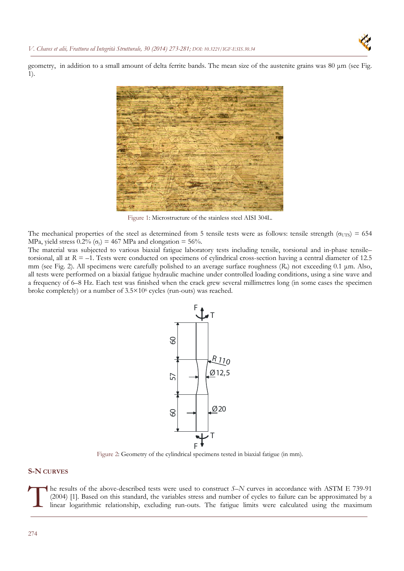

geometry, in addition to a small amount of delta ferrite bands. The mean size of the austenite grains was 80 μm (see Fig. 1).



Figure 1: Microstructure of the stainless steel AISI 304L.

The mechanical properties of the steel as determined from 5 tensile tests were as follows: tensile strength ( $\sigma_{UTS}$ ) = 654 MPa, yield stress  $0.2\%$  ( $\sigma_v$ ) = 467 MPa and elongation = 56%.

The material was subjected to various biaxial fatigue laboratory tests including tensile, torsional and in-phase tensile– torsional, all at  $R = -1$ . Tests were conducted on specimens of cylindrical cross-section having a central diameter of 12.5 mm (see Fig. 2). All specimens were carefully polished to an average surface roughness (*R*a) not exceeding 0.1 μm. Also, all tests were performed on a biaxial fatigue hydraulic machine under controlled loading conditions, using a sine wave and a frequency of 6–8 Hz. Each test was finished when the crack grew several millimetres long (in some cases the specimen broke completely) or a number of 3.5×106 cycles (run-outs) was reached.



Figure 2: Geometry of the cylindrical specimens tested in biaxial fatigue (in mm).

# **S-N CURVES**

he results of the above-described tests were used to construct *S*–*N* curves in accordance with ASTM E 739-91 (2004) [1]. Based on this standard, the variables stress and number of cycles to failure can be approximated by a linear logarithmic relationship, excluding run-outs. The fatigue limits were calculated using the maximum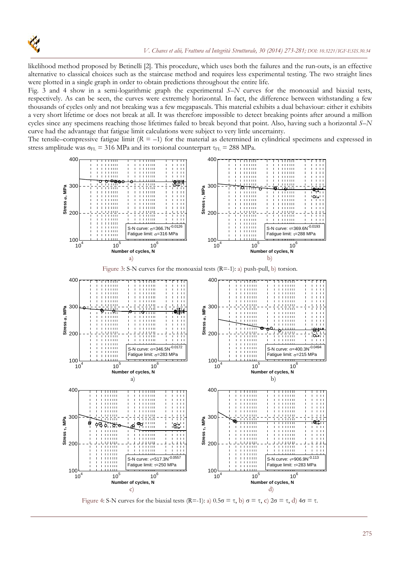

likelihood method proposed by Betinelli [2]. This procedure, which uses both the failures and the run-outs, is an effective alternative to classical choices such as the staircase method and requires less experimental testing. The two straight lines were plotted in a single graph in order to obtain predictions throughout the entire life.

Fig. 3 and 4 show in a semi-logarithmic graph the experimental *S*–*N* curves for the monoaxial and biaxial tests, respectively. As can be seen, the curves were extremely horizontal. In fact, the difference between withstanding a few thousands of cycles only and not breaking was a few megapascals. This material exhibits a dual behaviour: either it exhibits a very short lifetime or does not break at all. It was therefore impossible to detect breaking points after around a million cycles since any specimens reaching those lifetimes failed to break beyond that point. Also, having such a horizontal *S*–*N* curve had the advantage that fatigue limit calculations were subject to very little uncertainty.

The tensile–compressive fatigue limit  $(R = -1)$  for the material as determined in cylindrical specimens and expressed in stress amplitude was  $\sigma_{FL}$  = 316 MPa and its torsional counterpart  $\tau_{FL}$  = 288 MPa.



Figure 4: S-N curves for the biaxial tests  $(R=1)$ : a)  $0.5\sigma = \tau$ , b)  $\sigma = \tau$ , c)  $2\sigma = \tau$ , d)  $4\sigma = \tau$ .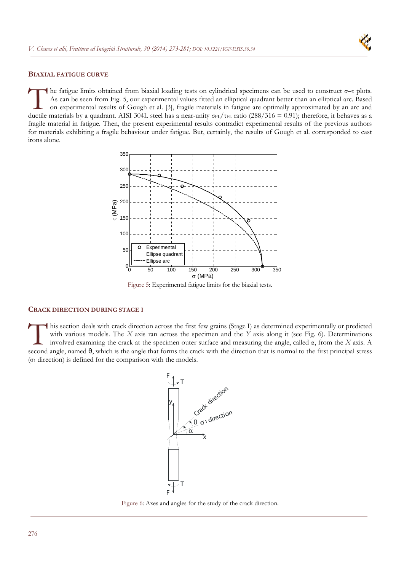

## **BIAXIAL FATIGUE CURVE**

he fatigue limits obtained from biaxial loading tests on cylindrical specimens can be used to construct σ–τ plots. As can be seen from Fig. 5, our experimental values fitted an elliptical quadrant better than an elliptical arc. Based on experimental results of Gough et al. [3], fragile materials in fatigue are optimally approximated by an arc and ductile materials by a quadrant. AISI 304L steel has a near-unity  $\sigma_{FL}/\tau_{FL}$  ratio (288/316 = 0.91); therefore, it behaves as a a near-unity σ<sub>FL</sub>/ $\tau_{FL}$  ratio (288/316 = 0.91); therefore, it behaves as a a fragile material in fatigue. Then, the present experimental results contradict experimental results of the previous authors for materials exhibiting a fragile behaviour under fatigue. But, certainly, the results of Gough et al. corresponded to cast irons alone.



Figure 5: Experimental fatigue limits for the biaxial tests.

## **CRACK DIRECTION DURING STAGE I**

his section deals with crack direction across the first few grains (Stage I) as determined experimentally or predicted with various models. The *X* axis ran across the specimen and the *Y* axis along it (see Fig. 6). Determinations involved examining the crack at the specimen outer surface and measuring the angle, called α, from the *X* axis. A his section deals with crack direction across the first few grains (Stage I) as determined experimentally or predicted with various models. The *X* axis ran across the specimen and the *Y* axis along it (see Fig. 6). Det (σ1 direction) is defined for the comparison with the models.



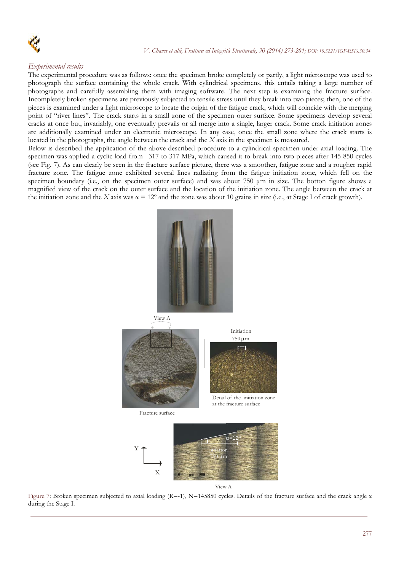

# *Experimental results*

The experimental procedure was as follows: once the specimen broke completely or partly, a light microscope was used to photograph the surface containing the whole crack. With cylindrical specimens, this entails taking a large number of photographs and carefully assembling them with imaging software. The next step is examining the fracture surface. Incompletely broken specimens are previously subjected to tensile stress until they break into two pieces; then, one of the pieces is examined under a light microscope to locate the origin of the fatigue crack, which will coincide with the merging point of "river lines". The crack starts in a small zone of the specimen outer surface. Some specimens develop several cracks at once but, invariably, one eventually prevails or all merge into a single, larger crack. Some crack initiation zones are additionally examined under an electronic microscope. In any case, once the small zone where the crack starts is located in the photographs, the angle between the crack and the *X* axis in the specimen is measured.

Below is described the application of the above-described procedure to a cylindrical specimen under axial loading. The specimen was applied a cyclic load from –317 to 317 MPa, which caused it to break into two pieces after 145 850 cycles (see Fig. 7). As can clearly be seen in the fracture surface picture, there was a smoother, fatigue zone and a rougher rapid fracture zone. The fatigue zone exhibited several lines radiating from the fatigue initiation zone, which fell on the specimen boundary (i.e., on the specimen outer surface) and was about 750 μm in size. The botton figure shows a magnified view of the crack on the outer surface and the location of the initiation zone. The angle between the crack at the initiation zone and the *X* axis was  $\alpha = 12^{\circ}$  and the zone was about 10 grains in size (i.e., at Stage I of crack growth).



View A

Figure 7: Broken specimen subjected to axial loading (R=-1), N=145850 cycles. Details of the fracture surface and the crack angle α during the Stage I.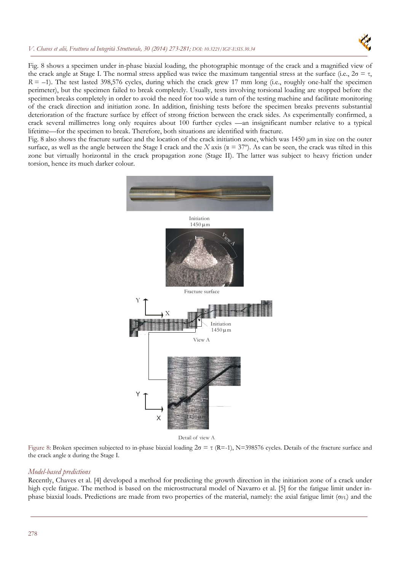## *V. Chaves et alii, Frattura ed Integrità Strutturale, 30 (2014) 273-281; DOI: 10.3221/IGF-ESIS.30.34*



Fig. 8 shows a specimen under in-phase biaxial loading, the photographic montage of the crack and a magnified view of the crack angle at Stage I. The normal stress applied was twice the maximum tangential stress at the surface (i.e.,  $2\sigma = \tau$ ,  $R = -1$ ). The test lasted 398,576 cycles, during which the crack grew 17 mm long (i.e., roughly one-half the specimen perimeter), but the specimen failed to break completely. Usually, tests involving torsional loading are stopped before the specimen breaks completely in order to avoid the need for too wide a turn of the testing machine and facilitate monitoring of the crack direction and initiation zone. In addition, finishing tests before the specimen breaks prevents substantial deterioration of the fracture surface by effect of strong friction between the crack sides. As experimentally confirmed, a crack several millimetres long only requires about 100 further cycles —an insignificant number relative to a typical lifetime—for the specimen to break. Therefore, both situations are identified with fracture.

Fig. 8 also shows the fracture surface and the location of the crack initiation zone, which was 1450 μm in size on the outer surface, as well as the angle between the Stage I crack and the *X* axis ( $\alpha = 37^{\circ}$ ). As can be seen, the crack was tilted in this zone but virtually horizontal in the crack propagation zone (Stage II). The latter was subject to heavy friction under torsion, hence its much darker colour.



Detail of view A

Figure 8: Broken specimen subjected to in-phase biaxial loading  $2\sigma = \tau$  (R=-1), N=398576 cycles. Details of the fracture surface and the crack angle α during the Stage I.

#### *Model-based predictions*

Recently, Chaves et al. [4] developed a method for predicting the growth direction in the initiation zone of a crack under high cycle fatigue. The method is based on the microstructural model of Navarro et al. [5] for the fatigue limit under inphase biaxial loads. Predictions are made from two properties of the material, namely: the axial fatigue limit ( $\sigma_{FL}$ ) and the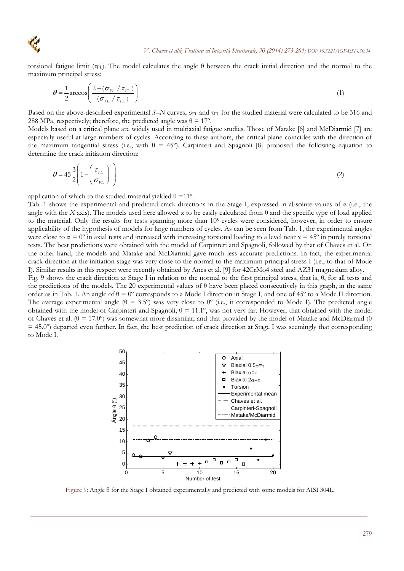

torsional fatigue limit (τ<sub>FL</sub>). The model calculates the angle θ between the crack initial direction and the normal to the maximum principal stress:

$$
\theta = \frac{1}{2} \arccos\left(\frac{2 - \left(\sigma_{FL} / \tau_{FL}\right)}{\left(\sigma_{FL} / \tau_{FL}\right)}\right)
$$
(1)

Based on the above-described experimental *S*–*N* curves, σ<sub>FL</sub> and τ<sub>FL</sub> for the studied material were calculated to be 316 and 288 MPa, respectively; therefore, the predicted angle was  $\theta = 17^{\circ}$ .

Models based on a critical plane are widely used in multiaxial fatigue studies. Those of Matake [6] and McDiarmid [7] are especially useful at large numbers of cycles. According to these authors, the critical plane coincides with the direction of the maximum tangential stress (i.e., with  $\theta = 45^{\circ}$ ). Carpinteri and Spagnoli [8] proposed the following equation to determine the crack initiation direction:

$$
\theta = 45 \frac{3}{2} \left( 1 - \left( \frac{\tau_{FL}}{\sigma_{FL}} \right)^2 \right) \tag{2}
$$

application of which to the studied material yielded  $\theta = 11^{\circ}$ .

Tab. 1 shows the experimental and predicted crack directions in the Stage I, expressed in absolute values of  $\alpha$  (i.e., the angle with the *X* axis). The models used here allowed  $\alpha$  to be easily calculated from  $\theta$  and the specific type of load applied to the material. Only the results for tests spanning more than  $10<sup>5</sup>$  cycles were considered, however, in order to ensure applicability of the hypothesis of models for large numbers of cycles. As can be seen from Tab. 1, the experimental angles were close to  $\alpha = 0^{\circ}$  in axial tests and increased with increasing torsional loading to a level near  $\alpha = 45^{\circ}$  in purely torsional tests. The best predictions were obtained with the model of Carpinteri and Spagnoli, followed by that of Chaves et al. On the other hand, the models and Matake and McDiarmid gave much less accurate predictions. In fact, the experimental crack direction at the initiation stage was very close to the normal to the maximum principal stress I (i.e., to that of Mode I). Similar results in this respect were recently obtained by Anes et al. [9] for 42CrMo4 steel and AZ31 magnesium alloy.

Fig. 9 shows the crack direction at Stage I in relation to the normal to the first principal stress, that is, θ, for all tests and the predictions of the models. The 20 experimental values of  $θ$  have been placed consecutively in this graph, in the same order as in Tab. 1. An angle of  $\theta = 0^{\circ}$  corresponds to a Mode I direction in Stage I, and one of 45° to a Mode II direction. The average experimental angle ( $\theta = 3.5^{\circ}$ ) was very close to  $0^{\circ}$  (i.e., it corresponded to Mode I). The predicted angle obtained with the model of Carpinteri and Spagnoli,  $\theta = 11.1^\circ$ , was not very far. However, that obtained with the model of Chaves et al. ( $\theta = 17.0^{\circ}$ ) was somewhat more dissimilar, and that provided by the model of Matake and McDiarmid (θ  $= 45.0^{\circ}$ ) departed even further. In fact, the best prediction of crack direction at Stage I was seemingly that corresponding to Mode I.



Figure 9: Angle θ for the Stage I obtained experimentally and predicted with some models for AISI 304L.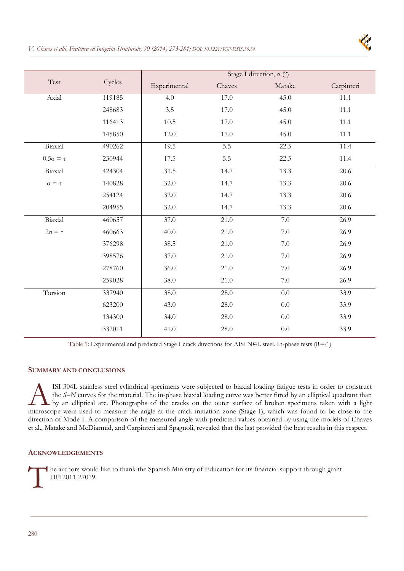



| Test                 | Cycles | Stage I direction, $\alpha$ (°) |        |         |            |
|----------------------|--------|---------------------------------|--------|---------|------------|
|                      |        | Experimental                    | Chaves | Matake  | Carpinteri |
| Axial                | 119185 | 4.0                             | 17.0   | 45.0    | 11.1       |
|                      | 248683 | 3.5                             | 17.0   | 45.0    | 11.1       |
|                      | 116413 | 10.5                            | 17.0   | 45.0    | 11.1       |
|                      | 145850 | 12.0                            | 17.0   | 45.0    | 11.1       |
| Biaxial              | 490262 | 19.5                            | 5.5    | 22.5    | 11.4       |
| $0.5\sigma = \tau$   | 230944 | 17.5                            | 5.5    | 22.5    | 11.4       |
| Biaxial              | 424304 | 31.5                            | 14.7   | 13.3    | 20.6       |
| $\sigma \equiv \tau$ | 140828 | 32.0                            | 14.7   | 13.3    | 20.6       |
|                      | 254124 | 32.0                            | 14.7   | 13.3    | 20.6       |
|                      | 204955 | 32.0                            | 14.7   | 13.3    | 20.6       |
| Biaxial              | 460657 | 37.0                            | 21.0   | $7.0\,$ | 26.9       |
| $2\sigma = \tau$     | 460663 | 40.0                            | 21.0   | $7.0\,$ | 26.9       |
|                      | 376298 | 38.5                            | 21.0   | 7.0     | 26.9       |
|                      | 398576 | 37.0                            | 21.0   | $7.0\,$ | 26.9       |
|                      | 278760 | 36.0                            | 21.0   | $7.0\,$ | 26.9       |
|                      | 259028 | 38.0                            | 21.0   | $7.0\,$ | 26.9       |
| Torsion              | 337940 | 38.0                            | 28.0   | 0.0     | 33.9       |
|                      | 623200 | 43.0                            | 28.0   | 0.0     | 33.9       |
|                      | 134300 | 34.0                            | 28.0   | 0.0     | 33.9       |
|                      | 332011 | 41.0                            | 28.0   | 0.0     | 33.9       |

Table 1: Experimental and predicted Stage I crack directions for AISI 304L steel. In-phase tests (R=-1)

# **SUMMARY AND CONCLUSIONS**

ISI 304L stainless steel cylindrical specimens were subjected to biaxial loading fatigue tests in order to construct the *S*–*N* curves for the material. The in-phase biaxial loading curve was better fitted by an elliptical quadrant than by an elliptical arc. Photographs of the cracks on the outer surface of broken specimens taken with a light ISI 304L stainless steel cylindrical specimens were subjected to biaxial loading fatigue tests in order to construct<br>the *S*–*N* curves for the material. The in-phase biaxial loading curve was better fitted by an elliptica direction of Mode I. A comparison of the measured angle with predicted values obtained by using the models of Chaves et al., Matake and McDiarmid, and Carpinteri and Spagnoli, revealed that the last provided the best results in this respect.

#### **ACKNOWLEDGEMENTS**

he authors would like to thank the Spanish Ministry of Education for its financial support through grant DPI2011-27019. DPI2011-27019.